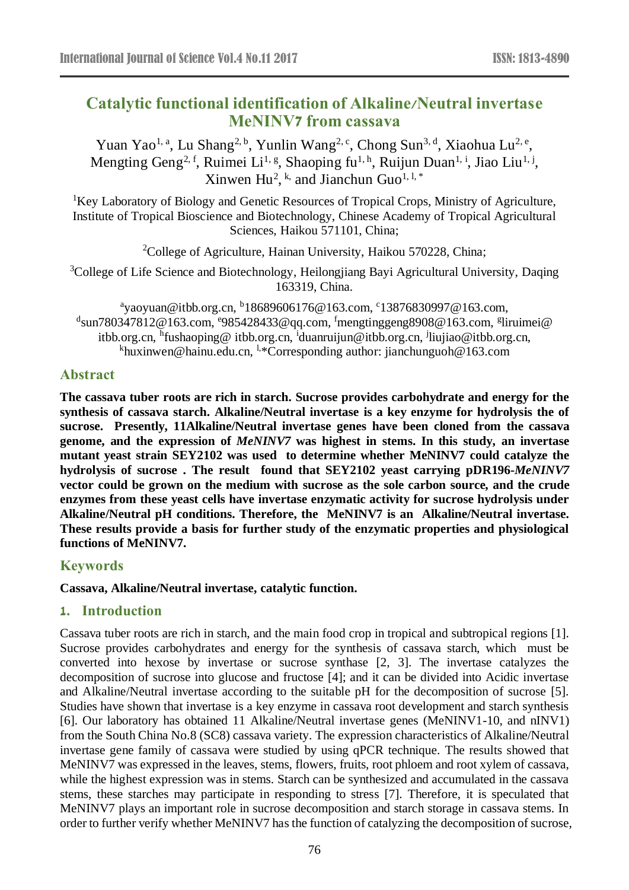# **Catalytic functional identification of Alkaline/Neutral invertase MeNINV7 from cassava**

Yuan Yao<sup>1, a</sup>, Lu Shang<sup>2, b</sup>, Yunlin Wang<sup>2, c</sup>, Chong Sun<sup>3, d</sup>, Xiaohua Lu<sup>2, e</sup>, Mengting Geng<sup>2, f</sup>, Ruimei Li<sup>1, g</sup>, Shaoping fu<sup>1, h</sup>, Ruijun Duan<sup>1, i</sup>, Jiao Liu<sup>1, j</sup>, Xinwen Hu<sup>2</sup>, <sup>k,</sup> and Jianchun Guo<sup>1, 1, \*</sup>

<sup>1</sup>Key Laboratory of Biology and Genetic Resources of Tropical Crops, Ministry of Agriculture, Institute of Tropical Bioscience and Biotechnology, Chinese Academy of Tropical Agricultural Sciences, Haikou 571101, China;

<sup>2</sup>College of Agriculture, Hainan University, Haikou 570228, China;

<sup>3</sup>College of Life Science and Biotechnology, Heilongjiang Bayi Agricultural University, Daqing 163319, China.

<sup>a</sup>yaoyuan@itbb.org.cn, <sup>b</sup>18689606176@163.com, <sup>c</sup>13876830997@163.com,  $^{\text{d}}$ sun $780347812@163$ .com,  $^{\text{e}}$ 985428433@qq.com,  $^{\text{f}}$ mengtinggeng8908@163.com,  $^{\text{g}}$ liruimei@ itbb.org.cn, <sup>h</sup>fushaoping@itbb.org.cn, <sup>i</sup>duanruijun@itbb.org.cn, <sup>j</sup>liujiao@itbb.org.cn, khuxinwen@hainu.edu.cn, <sup>1,\*</sup>Corresponding author: jianchunguoh@163.com

# **Abstract**

**The cassava tuber roots are rich in starch. Sucrose provides carbohydrate and energy for the synthesis of cassava starch. Alkaline/Neutral invertase is a key enzyme for hydrolysis the of sucrose. Presently, 11Alkaline/Neutral invertase genes have been cloned from the cassava genome, and the expression of** *MeNINV7* **was highest in stems. In this study, an invertase mutant yeast strain SEY2102 was used to determine whether MeNINV7 could catalyze the hydrolysis of sucrose . The result found that SEY2102 yeast carrying pDR196-***MeNINV7* **vector could be grown on the medium with sucrose as the sole carbon source, and the crude enzymes from these yeast cells have invertase enzymatic activity for sucrose hydrolysis under Alkaline/Neutral pH conditions. Therefore, the MeNINV7 is an Alkaline/Neutral invertase. These results provide a basis for further study of the enzymatic properties and physiological functions of MeNINV7.**

## **Keywords**

**Cassava, Alkaline/Neutral invertase, catalytic function.**

## **1. Introduction**

Cassava tuber roots are rich in starch, and the main food crop in tropical and subtropical regions [\[1\]](#page-4-0). Sucrose provides carbohydrates and energy for the synthesis of cassava starch, which must be converted into hexose by invertase or sucrose synthase [2, [3\]](#page-4-1). The invertase catalyzes the decomposition of sucrose into glucose and fructose [\[4\]](#page-4-2); and it can be divided into Acidic invertase and Alkaline/Neutral invertase according to the suitable pH for the decomposition of sucrose [\[5\]](#page-4-3). Studies have shown that invertase is a key enzyme in cassava root development and starch synthesis [\[6\]](#page-4-4). Our laboratory has obtained 11 Alkaline/Neutral invertase genes (MeNINV1-10, and nINV1) from the South China No.8 (SC8) cassava variety. The expression characteristics of Alkaline/Neutral invertase gene family of cassava were studied by using qPCR technique. The results showed that MeNINV7 was expressed in the leaves, stems, flowers, fruits, root phloem and root xylem of cassava, while the highest expression was in stems. Starch can be synthesized and accumulated in the cassava stems, these starches may participate in responding to stress [\[7\]](#page-4-5). Therefore, it is speculated that MeNINV7 plays an important role in sucrose decomposition and starch storage in cassava stems. In order to further verify whether MeNINV7 has the function of catalyzing the decomposition of sucrose,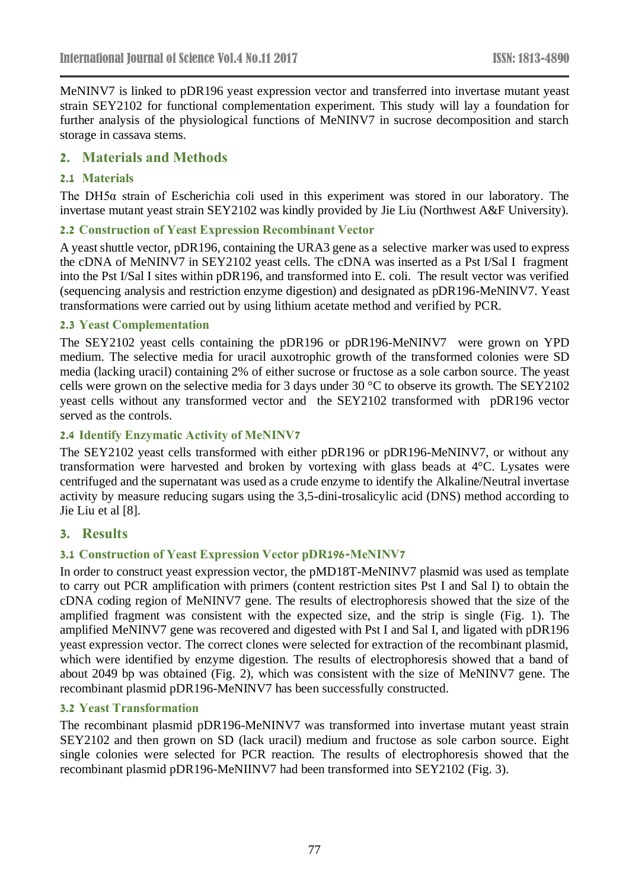MeNINV7 is linked to pDR196 yeast expression vector and transferred into invertase mutant yeast strain SEY2102 for functional complementation experiment. This study will lay a foundation for further analysis of the physiological functions of MeNINV7 in sucrose decomposition and starch storage in cassava stems.

## **2. Materials and Methods**

#### **2.1 Materials**

The DH5α strain of Escherichia coli used in this experiment was stored in our laboratory. The invertase mutant yeast strain SEY2102 was kindly provided by Jie Liu (Northwest A&F University).

#### **2.2 Construction of Yeast Expression Recombinant Vector**

A yeast shuttle vector, pDR196, containing the URA3 gene as a selective marker was used to express the cDNA of MeNINV7 in SEY2102 yeast cells. The cDNA was inserted as a Pst I/Sal I fragment into the Pst I/Sal I sites within pDR196, and transformed into E. coli. The result vector was verified (sequencing analysis and restriction enzyme digestion) and designated as pDR196-MeNINV7. Yeast transformations were carried out by using lithium acetate method and verified by PCR.

#### **2.3 Yeast Complementation**

The SEY2102 yeast cells containing the pDR196 or pDR196-MeNINV7 were grown on YPD medium. The selective media for uracil auxotrophic growth of the transformed colonies were SD media (lacking uracil) containing 2% of either sucrose or fructose as a sole carbon source. The yeast cells were grown on the selective media for 3 days under 30 °C to observe its growth. The SEY2102 yeast cells without any transformed vector and the SEY2102 transformed with pDR196 vector served as the controls.

#### **2.4 Identify Enzymatic Activity of MeNINV7**

The SEY2102 yeast cells transformed with either pDR196 or pDR196-MeNINV7, or without any transformation were harvested and broken by vortexing with glass beads at 4°C. Lysates were centrifuged and the supernatant was used as a crude enzyme to identify the Alkaline/Neutral invertase activity by measure reducing sugars using the 3,5-dini-trosalicylic acid (DNS) method according to Jie Liu et al [8].

## **3. Results**

#### **3.1 Construction of Yeast Expression Vector pDR196-MeNINV7**

In order to construct yeast expression vector, the pMD18T-MeNINV7 plasmid was used as template to carry out PCR amplification with primers (content restriction sites Pst I and Sal I) to obtain the cDNA coding region of MeNINV7 gene. The results of electrophoresis showed that the size of the amplified fragment was consistent with the expected size, and the strip is single (Fig. 1). The amplified MeNINV7 gene was recovered and digested with Pst I and Sal I, and ligated with pDR196 yeast expression vector. The correct clones were selected for extraction of the recombinant plasmid, which were identified by enzyme digestion. The results of electrophoresis showed that a band of about 2049 bp was obtained (Fig. 2), which was consistent with the size of MeNINV7 gene. The recombinant plasmid pDR196-MeNINV7 has been successfully constructed.

#### **3.2 Yeast Transformation**

The recombinant plasmid pDR196-MeNINV7 was transformed into invertase mutant yeast strain SEY2102 and then grown on SD (lack uracil) medium and fructose as sole carbon source. Eight single colonies were selected for PCR reaction. The results of electrophoresis showed that the recombinant plasmid pDR196-MeNIINV7 had been transformed into SEY2102 (Fig. 3).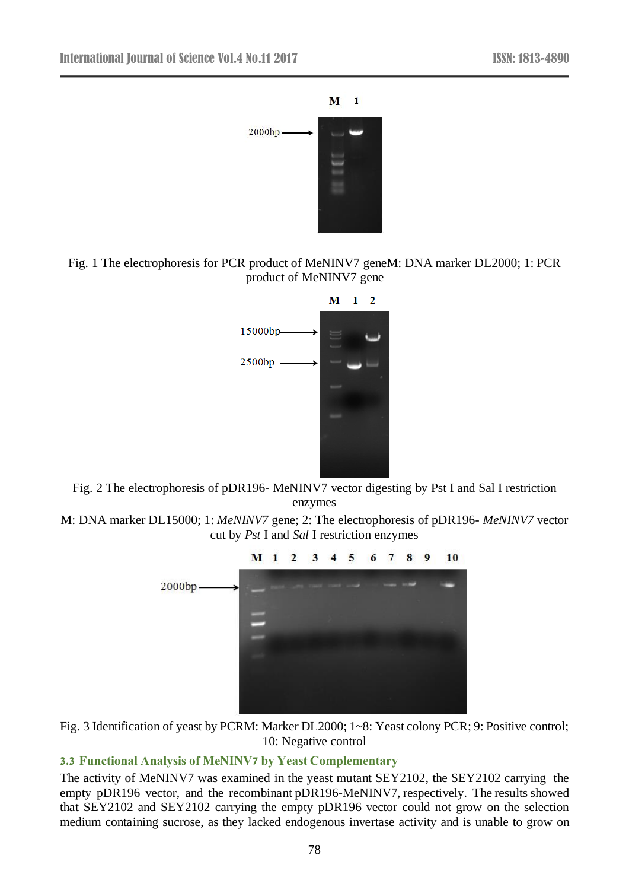

Fig. 1 The electrophoresis for PCR product of MeNINV7 geneM: DNA marker DL2000; 1: PCR product of MeNINV7 gene



Fig. 2 The electrophoresis of pDR196- MeNINV7 vector digesting by Pst I and Sal I restriction enzymes

M: DNA marker DL15000; 1: *MeNINV7* gene; 2: The electrophoresis of pDR196- *MeNINV7* vector cut by *Pst* I and *Sal* I restriction enzymes



Fig. 3 Identification of yeast by PCRM: Marker DL2000; 1~8: Yeast colony PCR; 9: Positive control; 10: Negative control

## **3.3 Functional Analysis of MeNINV7 by Yeast Complementary**

The activity of MeNINV7 was examined in the yeast mutant SEY2102, the SEY2102 carrying the empty pDR196 vector, and the recombinant pDR196-MeNINV7, respectively. The results showed that SEY2102 and SEY2102 carrying the empty pDR196 vector could not grow on the selection medium containing sucrose, as they lacked endogenous invertase activity and is unable to grow on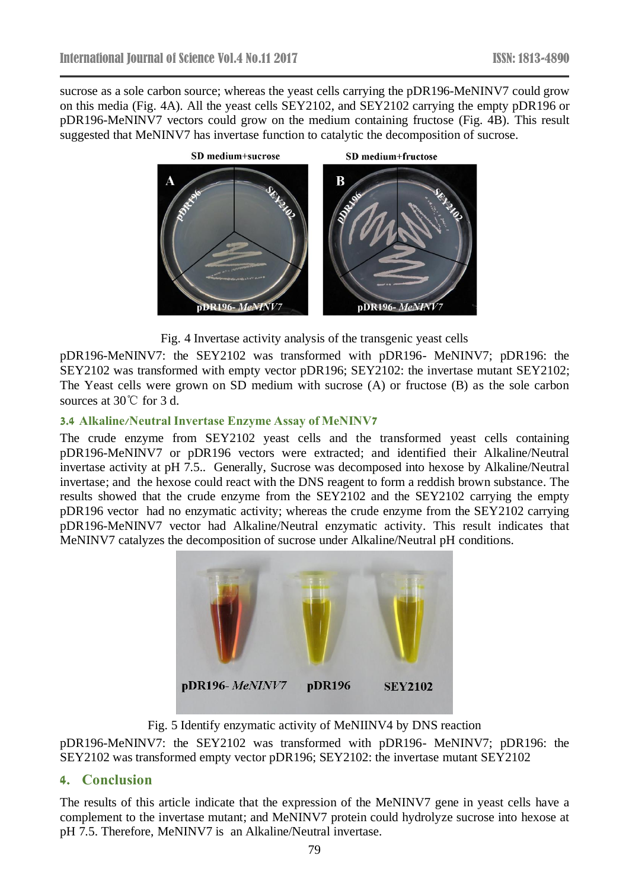sucrose as a sole carbon source; whereas the yeast cells carrying the pDR196-MeNINV7 could grow on this media (Fig. 4A). All the yeast cells SEY2102, and SEY2102 carrying the empty pDR196 or pDR196-MeNINV7 vectors could grow on the medium containing fructose (Fig. 4B). This result suggested that MeNINV7 has invertase function to catalytic the decomposition of sucrose.



Fig. 4 Invertase activity analysis of the transgenic yeast cells

pDR196-MeNINV7: the SEY2102 was transformed with pDR196- MeNINV7; pDR196: the SEY2102 was transformed with empty vector pDR196; SEY2102: the invertase mutant SEY2102; The Yeast cells were grown on SD medium with sucrose (A) or fructose (B) as the sole carbon sources at 30℃ for 3 d.

## **3.4 Alkaline/Neutral Invertase Enzyme Assay of MeNINV7**

The crude enzyme from SEY2102 yeast cells and the transformed yeast cells containing pDR196-MeNINV7 or pDR196 vectors were extracted; and identified their Alkaline/Neutral invertase activity at pH 7.5.. Generally, Sucrose was decomposed into hexose by Alkaline/Neutral invertase; and the hexose could react with the DNS reagent to form a reddish brown substance. The results showed that the crude enzyme from the SEY2102 and the SEY2102 carrying the empty pDR196 vector had no enzymatic activity; whereas the crude enzyme from the SEY2102 carrying pDR196-MeNINV7 vector had Alkaline/Neutral enzymatic activity. This result indicates that MeNINV7 catalyzes the decomposition of sucrose under Alkaline/Neutral pH conditions.



Fig. 5 Identify enzymatic activity of MeNIINV4 by DNS reaction

pDR196-MeNINV7: the SEY2102 was transformed with pDR196- MeNINV7; pDR196: the SEY2102 was transformed empty vector pDR196; SEY2102: the invertase mutant SEY2102

# **4. Conclusion**

The results of this article indicate that the expression of the MeNINV7 gene in yeast cells have a complement to the invertase mutant; and MeNINV7 protein could hydrolyze sucrose into hexose at pH 7.5. Therefore, MeNINV7 is an Alkaline/Neutral invertase.